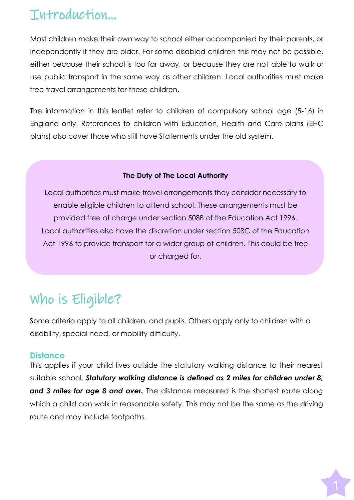## Introduction…

Most children make their own way to school either accompanied by their parents, or independently if they are older. For some disabled children this may not be possible, either because their school is too far away, or because they are not able to walk or use public transport in the same way as other children. Local authorities must make free travel arrangements for these children.

The information in this leaflet refer to children of compulsory school age (5-16) in England only. References to children with Education, Health and Care plans (EHC plans) also cover those who still have Statements under the old system.

### **The Duty of The Local Authority**

Local authorities must make travel arrangements they consider necessary to enable eligible children to attend school. These arrangements must be provided free of charge under section 508B of the Education Act 1996. Local authorities also have the discretion under section 508C of the Education Act 1996 to provide transport for a wider group of children. This could be free or charged for.

## Who is Eligible?

Some criteria apply to all children, and pupils. Others apply only to children with a disability, special need, or mobility difficulty.

### **Distance**

This applies if your child lives outside the statutory walking distance to their nearest suitable school. *Statutory walking distance is defined as 2 miles for children under 8, and 3 miles for age 8 and over.* The distance measured is the shortest route along which a child can walk in reasonable safety. This may not be the same as the driving route and may include footpaths.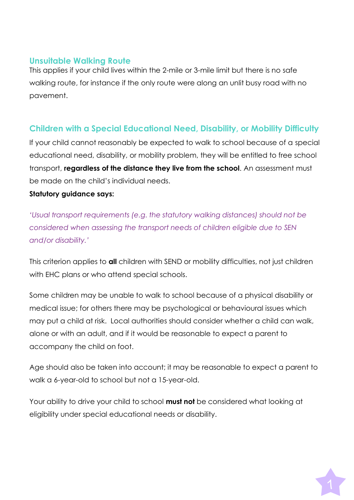### **Unsuitable Walking Route**

This applies if your child lives within the 2-mile or 3-mile limit but there is no safe walking route, for instance if the only route were along an unlit busy road with no pavement.

### **Children with a Special Educational Need, Disability, or Mobility Difficulty**

If your child cannot reasonably be expected to walk to school because of a special educational need, disability, or mobility problem, they will be entitled to free school transport, **regardless of the distance they live from the school**. An assessment must be made on the child's individual needs.

### **Statutory guidance says:**

*'Usual transport requirements (e.g. the statutory walking distances) should not be considered when assessing the transport needs of children eligible due to SEN and/or disability.'*

This criterion applies to **all** children with SEND or mobility difficulties, not just children with EHC plans or who attend special schools.

Some children may be unable to walk to school because of a physical disability or medical issue; for others there may be psychological or behavioural issues which may put a child at risk. Local authorities should consider whether a child can walk, alone or with an adult, and if it would be reasonable to expect a parent to accompany the child on foot.

Age should also be taken into account; it may be reasonable to expect a parent to walk a 6-year-old to school but not a 15-year-old.

Your ability to drive your child to school **must not** be considered what looking at eligibility under special educational needs or disability.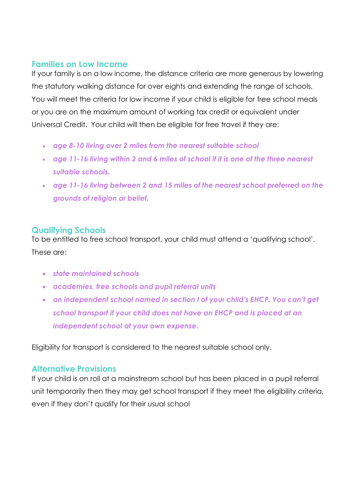#### **Families on Low Income**

If your family is on a low income, the distance criteria are more generous by lowering the statutory walking distance for over eights and extending the range of schools. You will meet the criteria for low income if your child is eligible for free school meals or you are on the maximum amount of working tax credit or equivalent under Universal Credit. Your child will then be eligible for free travel if they are:

- *age 8-10 living over 2 miles from the nearest suitable school*
- *age 11-16 living within 2 and 6 miles of school if it is one of the three nearest suitable schools.*
- *age 11-16 living between 2 and 15 miles of the nearest school preferred on the grounds of religion or belief.*

#### **Qualifying Schools**

To be entitled to free school transport, your child must attend a 'qualifying school'.

#### These are:

- *state maintained schools*
- *academies, free schools and pupil referral units*
- *an independent school named in section I of your child's EHCP. You can't get school transport if your child does not have an EHCP and is placed at an independent school at your own expense.*

Eligibility for transport is considered to the nearest suitable school only.

#### **Alternative Provisions**

If your child is on roll at a mainstream school but has been placed in a pupil referral unit temporarily then they may get school transport if they meet the eligibility criteria, even if they don't qualify for their usual school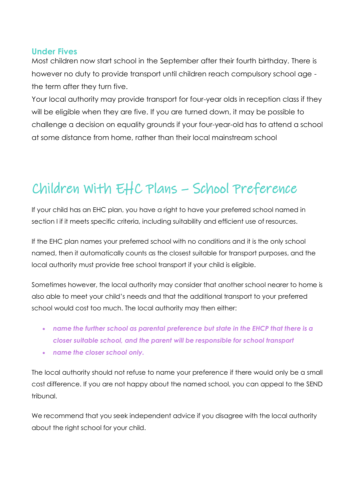#### **Under Fives**

Most children now start school in the September after their fourth birthday. There is however no duty to provide transport until children reach compulsory school age the term after they turn five.

Your local authority may provide transport for four-year olds in reception class if they will be eligible when they are five. If you are turned down, it may be possible to challenge a decision on equality grounds if your four-year-old has to attend a school at some distance from home, rather than their local mainstream school

# Children With EHC Plans – School Preference

If your child has an EHC plan, you have a right to have your preferred school named in section I if it meets specific criteria, including suitability and efficient use of resources.

If the EHC plan names your preferred school with no conditions and it is the only school named, then it automatically counts as the closest suitable for transport purposes, and the local authority must provide free school transport if your child is eligible.

Sometimes however, the local authority may consider that another school nearer to home is also able to meet your child's needs and that the additional transport to your preferred school would cost too much. The local authority may then either:

- *name the further school as parental preference but state in the EHCP that there is a closer suitable school, and the parent will be responsible for school transport*
- *name the closer school only.*

The local authority should not refuse to name your preference if there would only be a small cost difference. If you are not happy about the named school, you can appeal to the SEND tribunal.

We recommend that you seek independent advice if you disagree with the local authority about the right school for your child.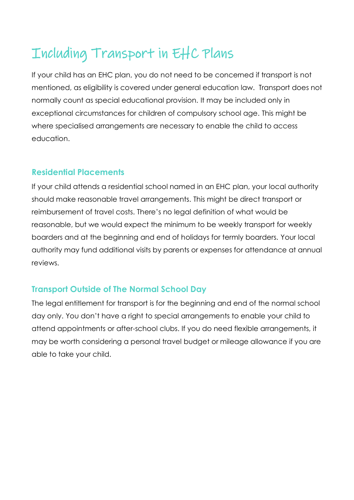# Including Transport in EHC Plans

If your child has an EHC plan, you do not need to be concerned if transport is not mentioned, as eligibility is covered under general education law. Transport does not normally count as special educational provision. It may be included only in exceptional circumstances for children of compulsory school age. This might be where specialised arrangements are necessary to enable the child to access education.

### **Residential Placements**

If your child attends a residential school named in an EHC plan, your local authority should make reasonable travel arrangements. This might be direct transport or reimbursement of travel costs. There's no legal definition of what would be reasonable, but we would expect the minimum to be weekly transport for weekly boarders and at the beginning and end of holidays for termly boarders. Your local authority may fund additional visits by parents or expenses for attendance at annual reviews.

### **Transport Outside of The Normal School Day**

The legal entitlement for transport is for the beginning and end of the normal school day only. You don't have a right to special arrangements to enable your child to attend appointments or after-school clubs. If you do need flexible arrangements, it may be worth considering a personal travel budget or mileage allowance if you are able to take your child.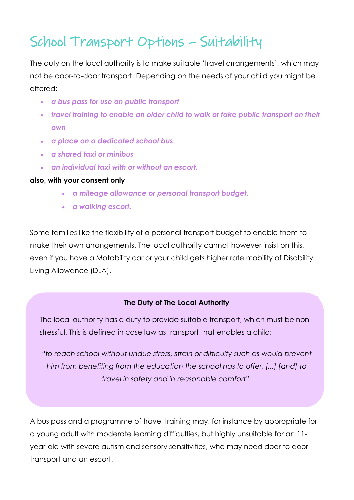## School Transport Options – Suitability

The duty on the local authority is to make suitable 'travel arrangements', which may not be door-to-door transport. Depending on the needs of your child you might be offered:

- *a bus pass for use on public transport*
- *travel training to enable an older child to walk or take public transport on their own*
- *a place on a dedicated school bus*
- *a shared taxi or minibus*
- *an individual taxi with or without an escort.*

#### **also, with your consent only**

- *a mileage allowance or personal transport budget.*
- *a walking escort.*

Some families like the flexibility of a personal transport budget to enable them to make their own arrangements. The local authority cannot however insist on this, even if you have a Motability car or your child gets higher rate mobility of Disability Living Allowance (DLA).

#### **The Duty of The Local Authority**

The local authority has a duty to provide suitable transport, which must be nonstressful. This is defined in case law as transport that enables a child:

*"to reach school without undue stress, strain or difficulty such as would prevent him from benefiting from the education the school has to offer, [...] [and] to travel in safety and in reasonable comfort".*

A bus pass and a programme of travel training may, for instance by appropriate for a young adult with moderate learning difficulties, but highly unsuitable for an 11 year-old with severe autism and sensory sensitivities, who may need door to door transport and an escort.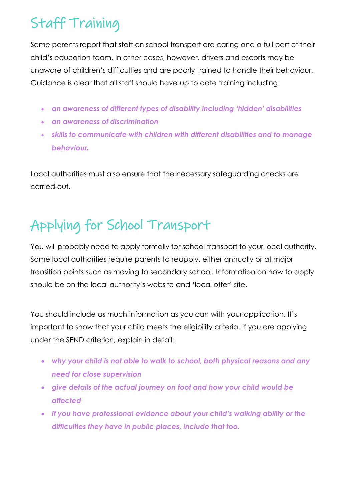# Staff Training

Some parents report that staff on school transport are caring and a full part of their child's education team. In other cases, however, drivers and escorts may be unaware of children's difficulties and are poorly trained to handle their behaviour. Guidance is clear that all staff should have up to date training including:

- *an awareness of different types of disability including 'hidden' disabilities*
- *an awareness of discrimination*
- *skills to communicate with children with different disabilities and to manage behaviour.*

Local authorities must also ensure that the necessary safeguarding checks are carried out.

# Applying for School Transport

You will probably need to apply formally for school transport to your local authority. Some local authorities require parents to reapply, either annually or at major transition points such as moving to secondary school. Information on how to apply should be on the local authority's website and 'local offer' site.

You should include as much information as you can with your application. It's important to show that your child meets the eligibility criteria. If you are applying under the SEND criterion, explain in detail:

- *why your child is not able to walk to school, both physical reasons and any need for close supervision*
- *give details of the actual journey on foot and how your child would be affected*
- *If you have professional evidence about your child's walking ability or the difficulties they have in public places, include that too.*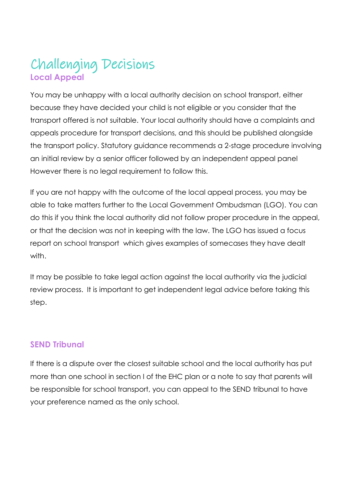### Challenging Decisions **Local Appeal**

You may be unhappy with a local authority decision on school transport, either because they have decided your child is not eligible or you consider that the transport offered is not suitable. Your local authority should have a complaints and appeals procedure for transport decisions, and this should be published alongside the transport policy. Statutory guidance recommends a 2-stage procedure involving an initial review by a senior officer followed by an independent appeal panel However there is no legal requirement to follow this.

If you are not happy with the outcome of the local appeal process, you may be able to take matters further to the Local Government Ombudsman (LGO). You can do this if you think the local authority did not follow proper procedure in the appeal, or that the decision was not in keeping with the law. The LGO has issued a focus report on school transport which gives examples of somecases they have dealt with.

It may be possible to take legal action against the local authority via the judicial review process. It is important to get independent legal advice before taking this step.

### **SEND Tribunal**

If there is a dispute over the closest suitable school and the local authority has put more than one school in section I of the EHC plan or a note to say that parents will be responsible for school transport, you can appeal to the SEND tribunal to have your preference named as the only school.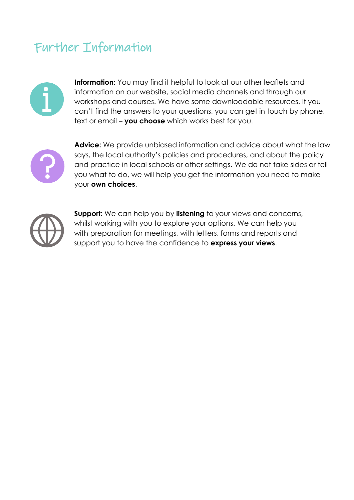### Further Information



**Information:** You may find it helpful to look at our other leaflets and information on our website, social media channels and through our workshops and courses. We have some downloadable resources. If you can't find the answers to your questions, you can get in touch by phone, text or email – **you choose** which works best for you.



**Advice:** We provide unbiased information and advice about what the law says, the local authority's policies and procedures, and about the policy and practice in local schools or other settings. We do not take sides or tell you what to do, we will help you get the information you need to make your **own choices**.



**Support:** We can help you by **listening** to your views and concerns, whilst working with you to explore your options. We can help you with preparation for meetings, with letters, forms and reports and support you to have the confidence to **express your views**.